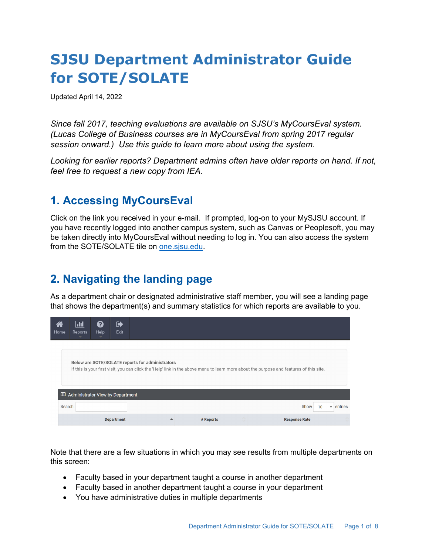# **SJSU Department Administrator Guide for SOTE/SOLATE**

Updated April 14, 2022

*Since fall 2017, teaching evaluations are available on SJSU's MyCoursEval system. (Lucas College of Business courses are in MyCoursEval from spring 2017 regular session onward.) Use this guide to learn more about using the system.* 

*Looking for earlier reports? Department admins often have older reports on hand. If not, feel free to request a new copy from IEA.* 

### **1. Accessing MyCoursEval**

Click on the link you received in your e-mail. If prompted, log-on to your MySJSU account. If you have recently logged into another campus system, such as Canvas or Peoplesoft, you may be taken directly into MyCoursEval without needing to log in. You can also access the system from the SOTE/SOLATE tile on **one.sjsu.edu.** 

# **2. Navigating the landing page**

As a department chair or designated administrative staff member, you will see a landing page that shows the department(s) and summary statistics for which reports are available to you.

| a<br>Home | <u>  Jıl</u><br>Reports                                                                                                                                                                     | 0<br>Help | ☞<br>Exit         |  |  |           |         |                      |                                    |  |  |  |
|-----------|---------------------------------------------------------------------------------------------------------------------------------------------------------------------------------------------|-----------|-------------------|--|--|-----------|---------|----------------------|------------------------------------|--|--|--|
|           | Below are SOTE/SOLATE reports for administrators<br>If this is your first visit, you can click the 'Help' link in the above menu to learn more about the purpose and features of this site. |           |                   |  |  |           |         |                      |                                    |  |  |  |
|           | Et Administrator View by Department                                                                                                                                                         |           |                   |  |  |           |         |                      |                                    |  |  |  |
| Search:   |                                                                                                                                                                                             |           |                   |  |  |           |         | Show<br>10           | entries<br>$\overline{\mathbf{v}}$ |  |  |  |
|           |                                                                                                                                                                                             |           | <b>Department</b> |  |  | # Reports | $\land$ | <b>Response Rate</b> |                                    |  |  |  |

Note that there are a few situations in which you may see results from multiple departments on this screen:

- Faculty based in your department taught a course in another department
- Faculty based in another department taught a course in your department
- You have administrative duties in multiple departments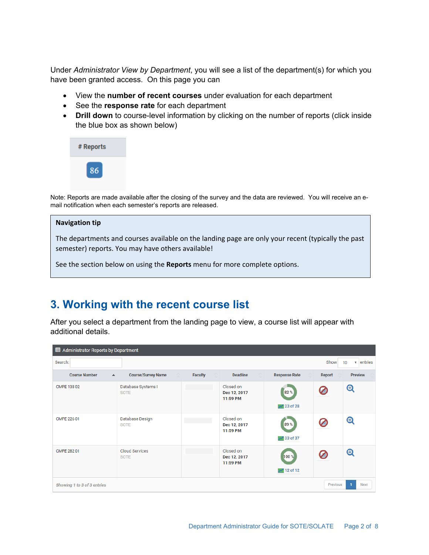Under *Administrator View by Department*, you will see a list of the department(s) for which you have been granted access. On this page you can

- View the **number of recent courses** under evaluation for each department
- See the **response rate** for each department
- **Drill down** to course-level information by clicking on the number of reports (click inside the blue box as shown below)



Note: Reports are made available after the closing of the survey and the data are reviewed. You will receive an email notification when each semester's reports are released.

#### **Navigation tip**

The departments and courses available on the landing page are only your recent (typically the past semester) reports. You may have others available!

See the section below on using the **Reports** menu for more complete options.

#### **3. Working with the recent course list**

After you select a department from the landing page to view, a course list will appear with additional details.

| EEE Administrator Reports by Department         |                                         |                                               |                                       |                                           |             |                                |  |  |  |  |
|-------------------------------------------------|-----------------------------------------|-----------------------------------------------|---------------------------------------|-------------------------------------------|-------------|--------------------------------|--|--|--|--|
| Search:                                         |                                         | $\overline{\mathbf{v}}$ entries<br>Show<br>10 |                                       |                                           |             |                                |  |  |  |  |
| <b>Course Number</b><br>$\blacktriangle$        | <b>Course/Survey Name</b><br>$\Diamond$ | $\Diamond$<br>Faculty                         | <b>Deadline</b><br>$\circ$            | <b>Response Rate</b><br>☆                 | Report<br>⊙ | <b>Preview</b>                 |  |  |  |  |
| CMPE 138 02                                     | Database Systems I<br><b>SOTE</b>       |                                               | Closed on<br>Dec 12, 2017<br>11:59 PM | 82 %<br>$\mathcal{M}$ 23 of 28            |             | $\boldsymbol{\mathsf{\Theta}}$ |  |  |  |  |
| CMPE 226 01                                     | Database Design<br><b>SOTE</b>          |                                               | Closed on<br>Dec 12, 2017<br>11:59 PM | 89 %<br>$\overline{\mathcal{M}}$ 33 of 37 |             | $\boldsymbol{\mathsf{\Theta}}$ |  |  |  |  |
| CMPE 282 01                                     | <b>Cloud Services</b><br><b>SOTE</b>    |                                               | Closed on<br>Dec 12, 2017<br>11:59 PM | 100 %<br>$\sqrt{12}$ of 12                |             | $\boldsymbol{\Theta}$          |  |  |  |  |
| Previous<br>Next<br>Showing 1 to 3 of 3 entries |                                         |                                               |                                       |                                           |             |                                |  |  |  |  |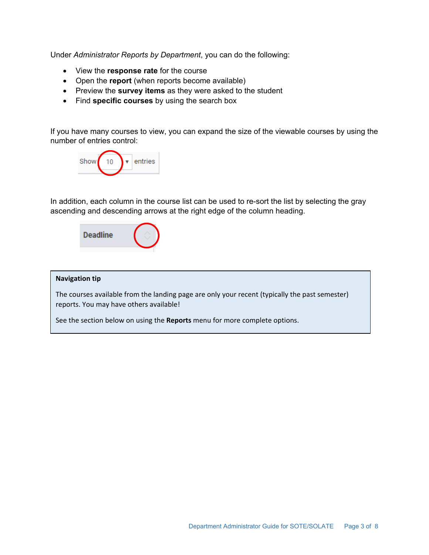Under *Administrator Reports by Department*, you can do the following:

- View the **response rate** for the course
- Open the **report** (when reports become available)
- Preview the **survey items** as they were asked to the student
- Find **specific courses** by using the search box

If you have many courses to view, you can expand the size of the viewable courses by using the number of entries control:



In addition, each column in the course list can be used to re-sort the list by selecting the gray ascending and descending arrows at the right edge of the column heading.



#### **Navigation tip**

The courses available from the landing page are only your recent (typically the past semester) reports. You may have others available!

See the section below on using the **Reports** menu for more complete options.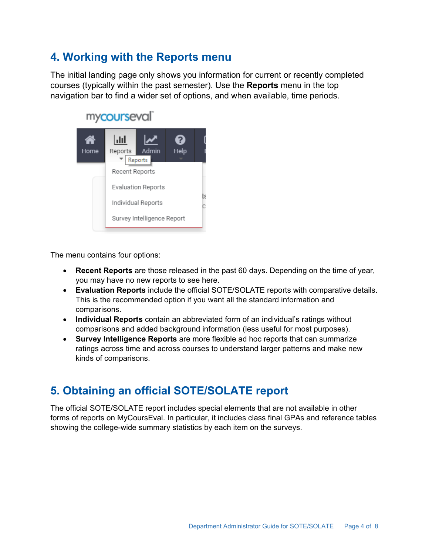### **4. Working with the Reports menu**

The initial landing page only shows you information for current or recently completed courses (typically within the past semester). Use the **Reports** menu in the top navigation bar to find a wider set of options, and when available, time periods.



The menu contains four options:

- **Recent Reports** are those released in the past 60 days. Depending on the time of year, you may have no new reports to see here.
- **Evaluation Reports** include the official SOTE/SOLATE reports with comparative details. This is the recommended option if you want all the standard information and comparisons.
- **Individual Reports** contain an abbreviated form of an individual's ratings without comparisons and added background information (less useful for most purposes).
- **Survey Intelligence Reports** are more flexible ad hoc reports that can summarize ratings across time and across courses to understand larger patterns and make new kinds of comparisons.

# **5. Obtaining an official SOTE/SOLATE report**

The official SOTE/SOLATE report includes special elements that are not available in other forms of reports on MyCoursEval. In particular, it includes class final GPAs and reference tables showing the college-wide summary statistics by each item on the surveys.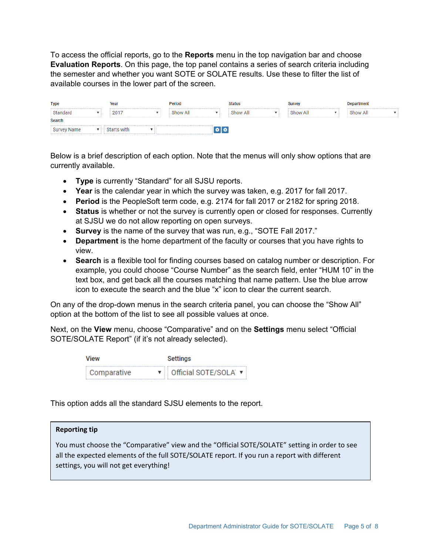To access the official reports, go to the **Reports** menu in the top navigation bar and choose **Evaluation Reports**. On this page, the top panel contains a series of search criteria including the semester and whether you want SOTE or SOLATE results. Use these to filter the list of available courses in the lower part of the screen.

| <b>Type</b>        | Year        | Period   |                 | Status   | <b>Survey</b> | <b>Department</b> |
|--------------------|-------------|----------|-----------------|----------|---------------|-------------------|
| Standard           | 2017        | Show All |                 | Show All | Show All      | Show All          |
| Search             |             |          |                 |          |               |                   |
| <b>Survey Name</b> | Starts with |          | $\circ$ $\circ$ |          |               |                   |

Below is a brief description of each option. Note that the menus will only show options that are currently available.

- **Type** is currently "Standard" for all SJSU reports.
- **Year** is the calendar year in which the survey was taken, e.g. 2017 for fall 2017.
- **Period** is the PeopleSoft term code, e.g. 2174 for fall 2017 or 2182 for spring 2018.
- **Status** is whether or not the survey is currently open or closed for responses. Currently at SJSU we do not allow reporting on open surveys.
- **Survey** is the name of the survey that was run, e.g., "SOTE Fall 2017."
- **Department** is the home department of the faculty or courses that you have rights to view.
- **Search** is a flexible tool for finding courses based on catalog number or description. For example, you could choose "Course Number" as the search field, enter "HUM 10" in the text box, and get back all the courses matching that name pattern. Use the blue arrow icon to execute the search and the blue "x" icon to clear the current search.

On any of the drop-down menus in the search criteria panel, you can choose the "Show All" option at the bottom of the list to see all possible values at once.

Next, on the **View** menu, choose "Comparative" and on the **Settings** menu select "Official SOTE/SOLATE Report" (if it's not already selected).

| View        | Settings               |  |  |  |  |
|-------------|------------------------|--|--|--|--|
| Comparative | ▼ Official SOTE/SOLA ▼ |  |  |  |  |

This option adds all the standard SJSU elements to the report.

#### **Reporting tip**

You must choose the "Comparative" view and the "Official SOTE/SOLATE" setting in order to see all the expected elements of the full SOTE/SOLATE report. If you run a report with different settings, you will not get everything!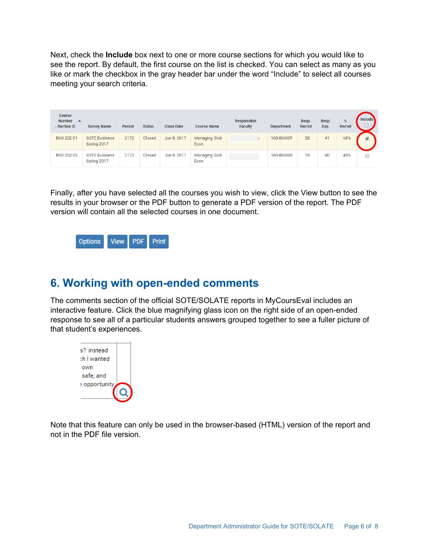Next, check the **Include** box next to one or more course sections for which you would like to see the report. By default, the first course on the list is checked. You can select as many as you like or mark the checkbox in the gray header bar under the word "Include" to select all courses meeting your search criteria.

| <b>Course</b><br>Number $\rightarrow$<br>- Section ID | $\wedge$<br><b>Survey Name</b>      | $\wedge$<br><b>Period</b> | ∧<br><b>Status</b> | A.<br><b>Close Date</b> | <b>Course Name</b>           | <b>Responsible</b><br><b>Faculty</b> | <b>Department</b> | Resp.<br>Rec'vd | Resp.<br>Exp. | %<br>Rec'vd | <b>Include</b>                  |
|-------------------------------------------------------|-------------------------------------|---------------------------|--------------------|-------------------------|------------------------------|--------------------------------------|-------------------|-----------------|---------------|-------------|---------------------------------|
| <b>BUS 202 01</b>                                     | <b>SOTE Business</b><br>Spring 2017 | 2172                      | Closed             | Jun 8, 2017             | Managing Glob<br>Econ        |                                      | 160-BUSGR         | 28              | 41            | 68%         | $\overline{\blacktriangledown}$ |
| <b>BUS 202 02</b>                                     | <b>SOTE Business</b><br>Spring 2017 | 2172                      | Closed             | Jun 8, 2017             | <b>Managing Glob</b><br>Econ |                                      | 160-BUSGR         | 16              | 40            | 40%         |                                 |

Finally, after you have selected all the courses you wish to view, click the View button to see the results in your browser or the PDF button to generate a PDF version of the report. The PDF version will contain all the selected courses in one document.



#### **6. Working with open-ended comments**

The comments section of the official SOTE/SOLATE reports in MyCoursEval includes an interactive feature. Click the blue magnifying glass icon on the right side of an open-ended response to see all of a particular students answers grouped together to see a fuller picture of that student's experiences.



Note that this feature can only be used in the browser-based (HTML) version of the report and not in the PDF file version.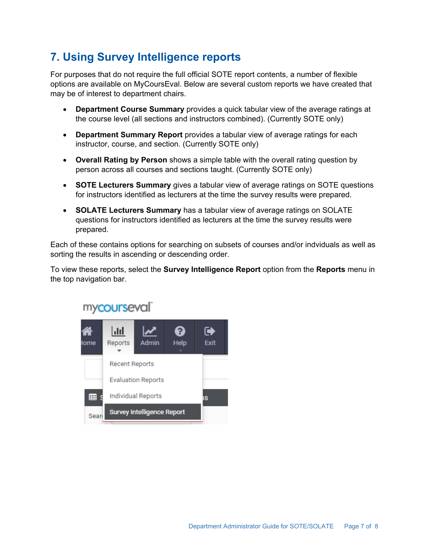# **7. Using Survey Intelligence reports**

For purposes that do not require the full official SOTE report contents, a number of flexible options are available on MyCoursEval. Below are several custom reports we have created that may be of interest to department chairs.

- **Department Course Summary** provides a quick tabular view of the average ratings at the course level (all sections and instructors combined). (Currently SOTE only)
- **Department Summary Report** provides a tabular view of average ratings for each instructor, course, and section. (Currently SOTE only)
- **Overall Rating by Person** shows a simple table with the overall rating question by person across all courses and sections taught. (Currently SOTE only)
- **SOTE Lecturers Summary** gives a tabular view of average ratings on SOTE questions for instructors identified as lecturers at the time the survey results were prepared.
- **SOLATE Lecturers Summary** has a tabular view of average ratings on SOLATE questions for instructors identified as lecturers at the time the survey results were prepared.

Each of these contains options for searching on subsets of courses and/or indviduals as well as sorting the results in ascending or descending order.

To view these reports, select the **Survey Intelligence Report** option from the **Reports** menu in the top navigation bar.



### mycourseval